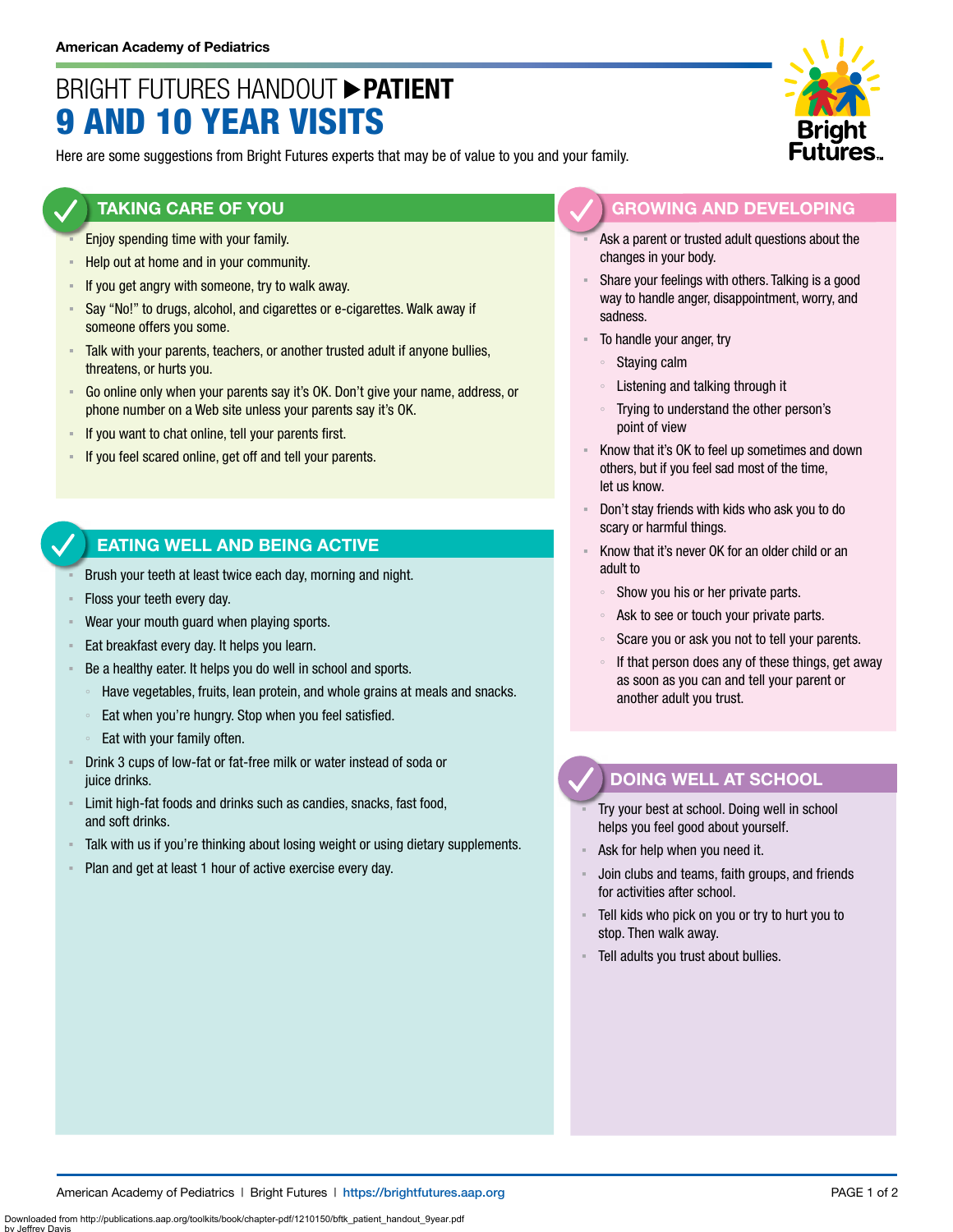# BRIGHT FUTURES HANDOUT **PATIENT** 9 AND 10 YEAR VISITS

Here are some suggestions from Bright Futures experts that may be of value to you and your family.

#### **TAKING CARE OF YOU**

- Enjoy spending time with your family.
- Help out at home and in your community.
- **EXED If you get angry with someone, try to walk away.**
- Say "No!" to drugs, alcohol, and cigarettes or e-cigarettes. Walk away if someone offers you some.
- Talk with your parents, teachers, or another trusted adult if anyone bullies, threatens, or hurts you.
- Go online only when your parents say it's OK. Don't give your name, address, or phone number on a Web site unless your parents say it's OK.
- If you want to chat online, tell your parents first.
- If you feel scared online, get off and tell your parents.

### **EATING WELL AND BEING ACTIVE**

- Brush your teeth at least twice each day, morning and night.
- Floss your teeth every day.
- Wear your mouth guard when playing sports.
- **Eat breakfast every day. It helps you learn.**
- Be a healthy eater. It helps you do well in school and sports.
	- Have vegetables, fruits, lean protein, and whole grains at meals and snacks.
- Eat when you're hungry. Stop when you feel satisfied.
- Eat with your family often.
- Drink 3 cups of low-fat or fat-free milk or water instead of soda or juice drinks.
- **EXECT** Limit high-fat foods and drinks such as candies, snacks, fast food, and soft drinks.
- Talk with us if you're thinking about losing weight or using dietary supplements.
- Plan and get at least 1 hour of active exercise every day.



- Ask a parent or trusted adult questions about the changes in your body.
- Share your feelings with others. Talking is a good way to handle anger, disappointment, worry, and sadness.
- To handle your anger, try
	- Staying calm
	- Listening and talking through it
	- Trying to understand the other person's point of view
- Know that it's OK to feel up sometimes and down others, but if you feel sad most of the time, let us know.
- Don't stay friends with kids who ask you to do scary or harmful things.
- Know that it's never OK for an older child or an adult to
	- Show you his or her private parts.
	- Ask to see or touch your private parts.
	- Scare you or ask you not to tell your parents.
	- If that person does any of these things, get away as soon as you can and tell your parent or another adult you trust.

## **DOING WELL AT SCHOOL**

- Try your best at school. Doing well in school helps you feel good about yourself.
- Ask for help when you need it.
- Join clubs and teams, faith groups, and friends for activities after school.
- Tell kids who pick on you or try to hurt you to stop. Then walk away.
- Tell adults you trust about bullies.